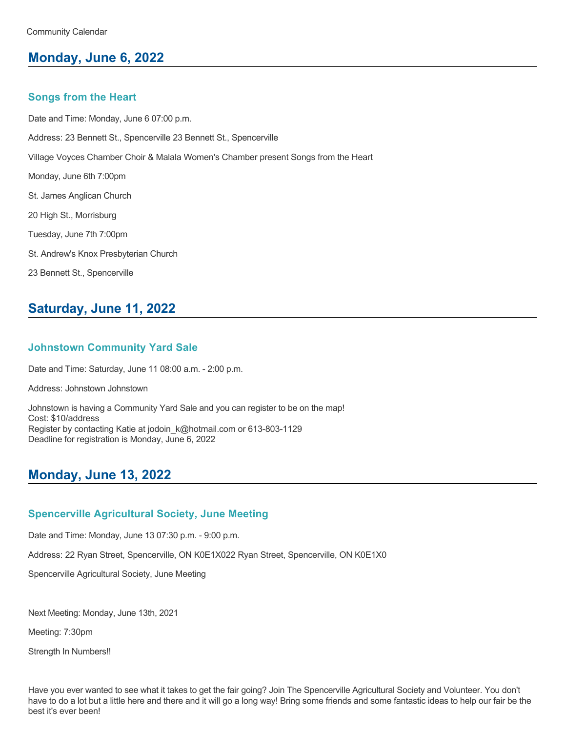# **Monday, June 6, 2022**

#### **Songs from the Heart**

Date and Time: Monday, June 6 07:00 p.m. Address: 23 Bennett St., Spencerville 23 Bennett St., Spencerville Village Voyces Chamber Choir & Malala Women's Chamber present Songs from the Heart Monday, June 6th 7:00pm St. James Anglican Church 20 High St., Morrisburg Tuesday, June 7th 7:00pm St. Andrew's Knox Presbyterian Church 23 Bennett St., Spencerville

## **Saturday, June 11, 2022**

#### **Johnstown Community Yard Sale**

Date and Time: Saturday, June 11 08:00 a.m. - 2:00 p.m.

Address: Johnstown Johnstown

Johnstown is having a Community Yard Sale and you can register to be on the map! Cost: \$10/address Register by contacting Katie at jodoin k@hotmail.com or 613-803-1129 Deadline for registration is Monday, June 6, 2022

## **Monday, June 13, 2022**

#### **Spencerville Agricultural Society, June Meeting**

Date and Time: Monday, June 13 07:30 p.m. - 9:00 p.m.

Address: 22 Ryan Street, Spencerville, ON K0E1X022 Ryan Street, Spencerville, ON K0E1X0

Spencerville Agricultural Society, June Meeting

Next Meeting: Monday, June 13th, 2021

Meeting: 7:30pm

Strength In Numbers!!

Have you ever wanted to see what it takes to get the fair going? Join The Spencerville Agricultural Society and Volunteer. You don't have to do a lot but a little here and there and it will go a long way! Bring some friends and some fantastic ideas to help our fair be the best it's ever been!